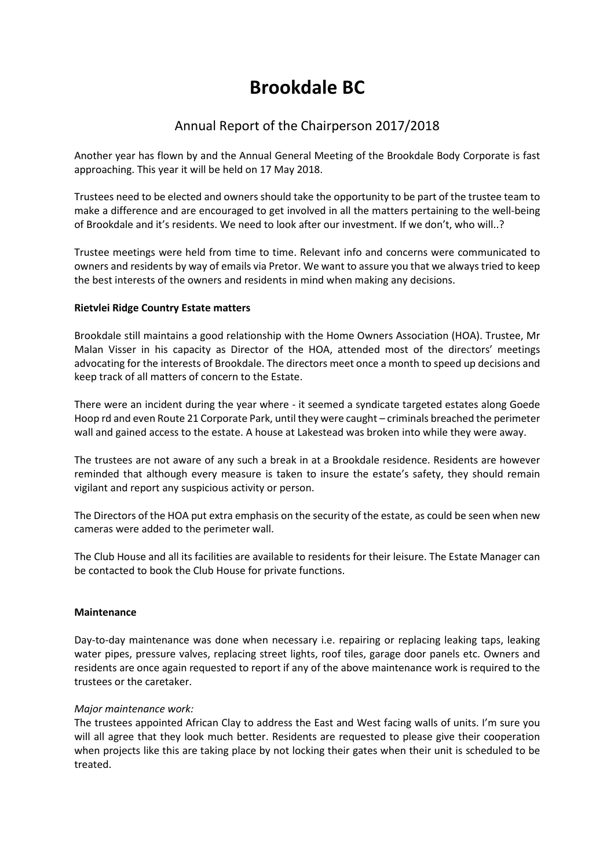# **Brookdale BC**

## Annual Report of the Chairperson 2017/2018

Another year has flown by and the Annual General Meeting of the Brookdale Body Corporate is fast approaching. This year it will be held on 17 May 2018.

Trustees need to be elected and owners should take the opportunity to be part of the trustee team to make a difference and are encouraged to get involved in all the matters pertaining to the well-being of Brookdale and it's residents. We need to look after our investment. If we don't, who will..?

Trustee meetings were held from time to time. Relevant info and concerns were communicated to owners and residents by way of emails via Pretor. We want to assure you that we always tried to keep the best interests of the owners and residents in mind when making any decisions.

### **Rietvlei Ridge Country Estate matters**

Brookdale still maintains a good relationship with the Home Owners Association (HOA). Trustee, Mr Malan Visser in his capacity as Director of the HOA, attended most of the directors' meetings advocating for the interests of Brookdale. The directors meet once a month to speed up decisions and keep track of all matters of concern to the Estate.

There were an incident during the year where - it seemed a syndicate targeted estates along Goede Hoop rd and even Route 21 Corporate Park, until they were caught – criminals breached the perimeter wall and gained access to the estate. A house at Lakestead was broken into while they were away.

The trustees are not aware of any such a break in at a Brookdale residence. Residents are however reminded that although every measure is taken to insure the estate's safety, they should remain vigilant and report any suspicious activity or person.

The Directors of the HOA put extra emphasis on the security of the estate, as could be seen when new cameras were added to the perimeter wall.

The Club House and all its facilities are available to residents for their leisure. The Estate Manager can be contacted to book the Club House for private functions.

#### **Maintenance**

Day-to-day maintenance was done when necessary i.e. repairing or replacing leaking taps, leaking water pipes, pressure valves, replacing street lights, roof tiles, garage door panels etc. Owners and residents are once again requested to report if any of the above maintenance work is required to the trustees or the caretaker.

#### *Major maintenance work:*

The trustees appointed African Clay to address the East and West facing walls of units. I'm sure you will all agree that they look much better. Residents are requested to please give their cooperation when projects like this are taking place by not locking their gates when their unit is scheduled to be treated.